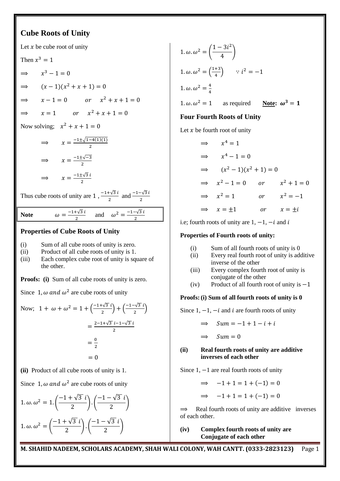# **Cube Roots of Unity**

Let  $x$  be cube root of unity Then  $x^3$  $\Rightarrow$  $r^3 - 1 = 0$  $\Rightarrow$   $(x-1)(x^2+x+1)=$  $\Rightarrow$   $x-1=0$  or  $x^2$  $x = 1$  or  $x^2 + x + 1 = 0$  $\Rightarrow$ Now solving;  $x^2$  $\Rightarrow \qquad x = \frac{-1 \pm \sqrt{1-4(1)(1)}}{2}$  $\overline{\mathbf{c}}$  $\Rightarrow x = \frac{-1 \pm \sqrt{-1}}{2}$  $\overline{\mathbf{c}}$  $\Rightarrow x = \frac{-1 \pm \sqrt{3}}{2}$  $\overline{\mathbf{c}}$ Thus cube roots of unity are  $1, \frac{-1+\sqrt{3}}{2}$  $\frac{1+\sqrt{3}i}{2}$  and  $\frac{-1-\sqrt{3}}{2}$  $-1+\sqrt{3}$  $\frac{1+\sqrt{3}i}{2}$  and  $\omega^2 = \frac{-1-\sqrt{3}}{2}$ **Note**   $\overline{c}$ **Properties of Cube Roots of Unity** (i) Sum of all cube roots of unity is zero. (ii) Product of all cube roots of unity is 1. (iii) Each complex cube root of unity is square of the other. **Proofs: (i)** Sum of all cube roots of unity is zero. Since 1,  $\omega$  and  $\omega^2$  are cube roots of unity Now;  $1 + \omega + \omega^2 = 1 + \left(\frac{-1 + \sqrt{3}}{2}\right)$  $\left(\frac{-1-\sqrt{3}}{2}i\right) + \left(\frac{-1-\sqrt{3}}{2}\right)$  $\frac{1}{2}$  $=\frac{2-1+\sqrt{3}i-1-\sqrt{3}}{2}$  $\overline{\mathbf{c}}$  $=\frac{0}{2}$  $\overline{\mathbf{c}}$  $= 0$ **(ii)** Product of all cube roots of unity is 1. Since 1,  $\omega$  and  $\omega^2$  are cube roots of unity  $1.\omega.\omega^2 = 1.\left(\frac{-1+\sqrt{3}}{2}\right)$  $-1-\sqrt{3}$  $\frac{16}{2}$ ).  $\frac{1}{2}$ 1.  $\omega \cdot \omega^2 = \left(\frac{-1 + \sqrt{3}}{2}\right)$  $-1-\sqrt{3}$ 

 $\frac{164}{2}$ ).

 $\frac{1}{2}$ 

1. 
$$
\omega
$$
.  $\omega^2 = \left(\frac{1 - 3i^2}{4}\right)$   
\n1.  $\omega$ .  $\omega^2 = \left(\frac{1+3}{4}\right)$   $\therefore i^2 = -1$   
\n1.  $\omega$ .  $\omega^2 = \frac{4}{4}$   
\n1.  $\omega$ .  $\omega^2 = 1$  as required **Note:**  $\omega^3 = 1$ 

# **Four Fourth Roots of Unity**

Let  $x$  be fourth root of unity

$$
\Rightarrow x4 = 1
$$
  
\n
$$
\Rightarrow x4 - 1 = 0
$$
  
\n
$$
\Rightarrow (x2 - 1)(x2 + 1) = 0
$$
  
\n
$$
\Rightarrow x2 - 1 = 0 \quad or \quad x2 + 1 = 0
$$
  
\n
$$
\Rightarrow x2 = 1 \quad or \quad x2 = -1
$$
  
\n
$$
\Rightarrow x = \pm 1 \quad or \quad x = \pm i
$$

i.e; fourth roots of unity are  $1, -1, -i$  and i

### **Properties of Fourth roots of unity:**

- (i) Sum of all fourth roots of unity is 0
- (ii) Every real fourth root of unity is additive inverse of the other
- (iii) Every complex fourth root of unity is conjugate of the other
- (iv) Product of all fourth root of unity is  $-1$

#### **Proofs:(i) Sum of all fourth roots of unity is 0**

Since  $1, -1, -i$  and i are fourth roots of unity

$$
\implies \quad \mathit{Sum} = -1 + 1 - i + i
$$

 $\Rightarrow$  $Sum = 0$ 

### **(ii) Real fourth roots of unity are additive inverses of each other**

Since  $1, -1$  are real fourth roots of unity

 $\implies$   $-1+1=1+(-1)=0$  $(1) 1 (1) (1)$ 

$$
\Rightarrow -1 + 1 = 1 + (-1) = 0
$$

 $\Rightarrow$  Real fourth roots of unity are additive inverses of each other.

**(iv) Complex fourth roots of unity are Conjugate of each other**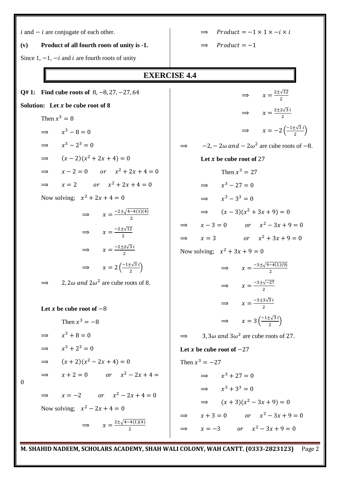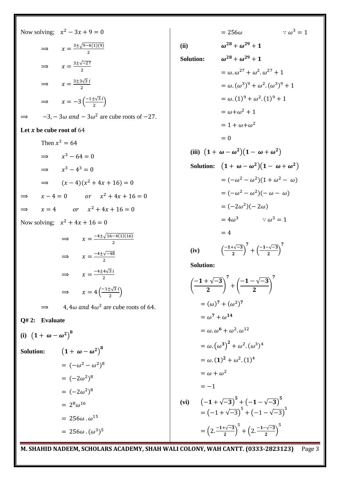Now solving; 
$$
x^2 - 3x + 9 = 0
$$
  
\n $\Rightarrow x = \frac{3 \pm \sqrt{9-4(1)(9)}}{2}$   
\n $\Rightarrow x = \frac{3 \pm \sqrt{-27}}{2}$   
\n $\Rightarrow x = \frac{3 \pm 3\sqrt{3}i}{2}$   
\n $\Rightarrow x = -3(-\frac{1 \pm \sqrt{3}i}{2})$   
\n $\Rightarrow -3, -3\omega$  and  $-3\omega^2$  are cube roots of -27.  
\nLet x be cube root of 64  
\nThen  $x^3 = 64$   
\n $\Rightarrow x^3 - 64 = 0$   
\n $\Rightarrow x^3 - 4^3 = 0$   
\n $\Rightarrow (x - 4)(x^2 + 4x + 16) = 0$   
\n $\Rightarrow x = 4$  or  $x^2 + 4x + 16 = 0$   
\nNow solving;  $x^2 + 4x + 16 = 0$   
\n $\Rightarrow x = \frac{-4 \pm \sqrt{16-4(1)(16)}}{2}$   
\n $\Rightarrow x = \frac{-4 \pm \sqrt{16-4(1)(16)}}{2}$   
\n $\Rightarrow x = \frac{-4 \pm \sqrt{16-4(1)(16)}}{2}$   
\n $\Rightarrow x = \frac{-4 \pm \sqrt{3}i}{2}$   
\n $\Rightarrow x = 4(-\frac{1 \pm \sqrt{3}i}{2})$   
\n $\Rightarrow 4, 4\omega$  and  $4\omega^2$  are cube roots of 64.  
\nQ# 2: Evaluate  
\n(i)  $(1 + \omega - \omega^2)^8$   
\n $= (-\omega^2 - \omega^2)^8$   
\n $= (-2\omega^2)^8$   
\n $= (-2\omega^2)^8$   
\n $= 256\omega \cdot \omega^{15}$   
\n $= 256\omega \cdot (\omega^3)^5$ 

$$
= 256\omega \qquad \therefore \omega^3 = 1
$$
\nSolution:

\n
$$
\omega^{28} + \omega^{29} + 1
$$
\n
$$
= \omega \cdot \omega^{27} + \omega^2 \cdot \omega^{27} + 1
$$
\n
$$
= \omega \cdot (\omega^3)^9 + \omega^2 \cdot (\omega^3)^9 + 1
$$
\n
$$
= \omega \cdot (1)^9 + \omega^2 \cdot (1)^9 + 1
$$
\n
$$
= \omega + \omega^2 + 1
$$
\n
$$
= 1 + \omega + \omega^2
$$
\n
$$
= 0
$$
\n(iii)  $(1 + \omega - \omega^2)(1 - \omega + \omega^2)$ 

\nSolution:

\n
$$
(1 + \omega - \omega^2)(1 - \omega + \omega^2)
$$
\n
$$
= (-\omega^2 - \omega^2)(1 + \omega^2 - \omega)
$$
\n
$$
= (-\omega^2 - \omega^2)(-\omega - \omega)
$$
\n
$$
= (-2\omega^2)(-\omega)
$$
\n
$$
= 4\omega^3 \qquad \therefore \omega^3 = 1
$$
\n
$$
= 4
$$
\n(iv)  $(\frac{-1 + \sqrt{-3}}{2})^7 + (\frac{-1 - \sqrt{-3}}{2})^7$ 

\nSolution:

\n
$$
\left(\frac{-1 + \sqrt{-3}}{2}\right)^7 + \left(\frac{-1 - \sqrt{-3}}{2}\right)^7
$$
\n
$$
= (\omega)^7 + (\omega^2)^7
$$
\n
$$
= \omega^7 + \omega^{14}
$$
\n
$$
= \omega \cdot \omega^6 + \omega^2 \cdot \omega^{12}
$$
\n
$$
= \omega \cdot (1)^2 + \omega^2 \cdot (1)^4
$$
\n
$$
= \omega \cdot (1)^2 + \omega^2 \cdot (1)^4
$$
\n
$$
= \omega \cdot (1)^2 + \omega^2 \cdot (1)^4
$$
\n
$$
= \omega \cdot (1)^2 + \omega^2 \cdot (1)^4
$$
\n
$$
= \omega \cdot (1)^2 + \omega^2 \cdot (1)^4
$$
\n
$$
= \omega \cdot (1)^2 + \omega^2 \cdot (1)^4
$$
\n<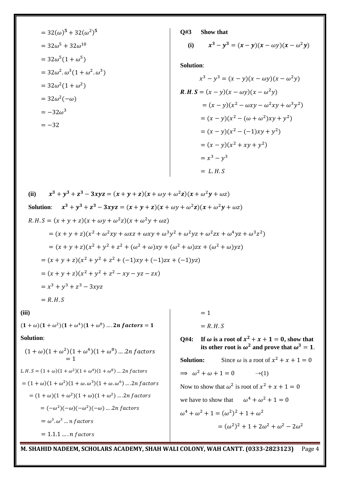$$
= 32(\omega)^5 + 32(\omega^2)^5
$$
  
= 32\omega^5 + 32\omega^{10}  
= 32\omega^5(1 + \omega^5)  
= 32\omega^2 \cdot \omega^3(1 + \omega^2 \cdot \omega^3)  
= 32\omega^2(1 + \omega^2)  
= 32\omega^2(-\omega)  
= -32\omega^3  
= -32

**Q#3 Show that**

(i) 
$$
x^3 - y^3 = (x - y)(x - \omega y)(x - \omega^2 y)
$$

**Solution**:

$$
x^3 - y^3 = (x - y)(x - \omega y)(x - \omega^2 y)
$$
  
\n**R. H. S** =  $(x - y)(x - \omega y)(x - \omega^2 y)$   
\n=  $(x - y)(x^2 - \omega xy - \omega^2 xy + \omega^3 y^2)$   
\n=  $(x - y)(x^2 - (\omega + \omega^2)xy + y^2)$   
\n=  $(x - y)(x^2 - (-1)xy + y^2)$   
\n=  $(x - y)(x^2 + xy + y^2)$   
\n=  $x^3 - y^3$   
\n= *L. H. S*

(ii) 
$$
x^3 + y^3 + z^3 - 3xyz = (x + y + z)(x + \omega y + \omega^2 z)(x + \omega^2 y + \omega z)
$$
  
\nSolution:  $x^3 + y^3 + z^3 - 3xyz = (x + y + z)(x + \omega y + \omega^2 z)(x + \omega^2 y + \omega z)$   
\n $R.H.S = (x + y + z)(x + \omega y + \omega^2 z)(x + \omega^2 y + \omega z)$   
\n $= (x + y + z)(x^2 + \omega^2 xy + \omega xz + \omega xy + \omega^3 y^2 + \omega^2 yz + \omega^2 zx + \omega^4 yz + \omega^3 z^2)$   
\n $= (x + y + z)(x^2 + y^2 + z^2 + (\omega^2 + \omega)xy + (\omega^2 + \omega)zx + (\omega^2 + \omega)yz)$   
\n $= (x + y + z)(x^2 + y^2 + z^2 + (-1)xy + (-1)zx + (-1)yz)$   
\n $= (x + y + z)(x^2 + y^2 + z^2 - xy - yz - zx)$   
\n $= x^3 + y^3 + z^3 - 3xyz$   
\n $= R.H.S$ 

**(iii)**

 $(1 + \omega)(1 + \omega^2)(1 + \omega^4)(1 + \omega^8) ...$ 

# **Solution**:

$$
(1 + \omega)(1 + \omega^2)(1 + \omega^4)(1 + \omega^8) \dots .2n \text{ factors}
$$
  
= 1  
L.H.S = (1 + \omega)(1 + \omega^2)(1 + \omega^4)(1 + \omega^8) \dots .2n \text{ factors}  
= (1 + \omega)(1 + \omega^2)(1 + \omega.\omega^3)(1 + \omega.\omega^6) \dots .2n \text{ factors}  
= (1 + \omega)(1 + \omega^2)(1 + \omega)(1 + \omega^2) \dots .2n \text{ factors}  
= (-\omega^2)(-\omega)(-\omega^2)(-\omega) \dots .2n \text{ factors}  
= \omega^3. \omega^3 \dots n \text{ factors}  
= 1.1.1 \dots .n \text{ factors}

 $= 1$  $= R.H.S$ 

Q#4: If  $\omega$  is a root of  $x^2 + x + 1 = 0$ , show that its other root is  $\omega^2$  and prove that

**Solution:** Since  $\omega$  is a root of  $x^2$  $\Rightarrow$   $\omega^2 + \omega + 1 = 0$   $\qquad \rightarrow (1)$ Now to show that  $\omega^2$  is root of  $x^2$ we have to show that  $\omega^4 + \omega^2$  $\omega^4 + \omega^2 + 1 = (\omega^2)^2 + 1 + \omega^2$  $=(\omega^2)^2 + 1 + 2\omega^2 + \omega^2 - 2\omega^2$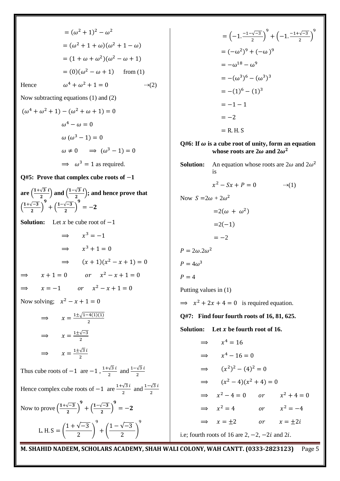$$
= (\omega^2 + 1)^2 - \omega^2
$$
  
\n
$$
= (\omega^2 + 1 + \omega)(\omega^2 + 1 - \omega)
$$
  
\n
$$
= (1 + \omega + \omega^2)(\omega^2 - \omega + 1)
$$
  
\n
$$
= (0)(\omega^2 - \omega + 1)
$$
 from (1)  
\nHence  
\n
$$
\omega^4 + \omega^2 + 1 = 0
$$
\n
$$
\omega^4 + \omega^2 + 1 = 0
$$
\n
$$
= -\omega^{10} - \omega^9
$$
  
\nNow subtracting equations (1) and (2)  
\n
$$
(\omega^4 + \omega^2 + 1) - (\omega^2 + \omega + 1) = 0
$$
\n
$$
\omega^4 - \omega = 0
$$
\n
$$
\omega (\omega^3 - 1) = 0
$$
\n
$$
\omega (\omega^3 - 1) = 0
$$
\n
$$
\omega (\omega^3 - 1) = 0
$$
\n
$$
\omega (\omega^3 - 1) = 0
$$
\n
$$
\omega (\omega^3 - 1) = 0
$$
\n
$$
\omega (\omega^3 - 1) = 0
$$
\n
$$
\omega (\omega^3 - 1) = 0
$$
\n
$$
\omega (\omega^3 - 1) = 0
$$
\n
$$
\omega (\omega^3 - 1) = 0
$$
\n
$$
\omega (\omega^3 - 1) = 0
$$
\n
$$
\omega (\omega^3 - 1) = 0
$$
\n
$$
\omega (\omega^3 - 1) = 0
$$
\n
$$
\omega (\omega^3 - 1) = 0
$$
\n
$$
\omega (\omega^3 - 1) = 0
$$
\n
$$
\omega (\omega^3 - 1) = 0
$$
\n
$$
\omega (\omega^3 - 1) = 0
$$
\n
$$
\omega (\omega^3 - 1) = 0
$$
\n
$$
\omega (\omega^3 - 1) = 0
$$
\n
$$
\omega (\omega^3 - 1) = 0
$$
\n
$$
\omega (\omega^3 - 1) = 0
$$
\n
$$
\omega (\omega^3 - 1) = 0
$$
\n
$$
\omega (\omega^3 - 1) = 0
$$
\n
$$
\
$$

 $\frac{1}{2}$ )

 $= 0$ 

9